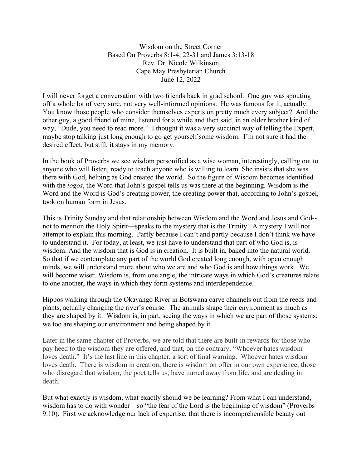Wisdom on the Street Corner Based On Proverbs 8:1-4, 22-31 and James 3:13-18 Rev. Dr. Nicole Wilkinson Cape May Presbyterian Church June 12, 2022

I will never forget a conversation with two friends back in grad school. One guy was spouting off a whole lot of very sure, not very well-informed opinions. He was famous for it, actually. You know those people who consider themselves experts on pretty much every subject? And the other guy, a good friend of mine, listened for a while and then said, in an older brother kind of way, "Dude, you need to read more." I thought it was a very succinct way of telling the Expert, maybe stop talking just long enough to go get yourself some wisdom. I'm not sure it had the desired effect, but still, it stays in my memory.

In the book of Proverbs we see wisdom personified as a wise woman, interestingly, calling out to anyone who will listen, ready to teach anyone who is willing to learn. She insists that she was there with God, helping as God created the world. So the figure of Wisdom becomes identified with the *logos*, the Word that John's gospel tells us was there at the beginning. Wisdom is the Word and the Word is God's creating power, the creating power that, according to John's gospel, took on human form in Jesus.

This is Trinity Sunday and that relationship between Wisdom and the Word and Jesus and God- not to mention the Holy Spirit—speaks to the mystery that is the Trinity. A mystery I will not attempt to explain this morning. Partly because I can't and partly because I don't think we have to understand it. For today, at least, we just have to understand that part of who God is, is wisdom. And the wisdom that is God is in creation. It is built in, baked into the natural world. So that if we contemplate any part of the world God created long enough, with open enough minds, we will understand more about who we are and who God is and how things work. We will become wiser. Wisdom is, from one angle, the intricate ways in which God's creatures relate to one another, the ways in which they form systems and interdependence.

Hippos walking through the Okavango River in Botswana carve channels out from the reeds and plants, actually changing the river's course. The animals shape their environment as much as they are shaped by it. Wisdom is, in part, seeing the ways in which we are part of those systems; we too are shaping our environment and being shaped by it.

Later in the same chapter of Proverbs, we are told that there are built-in rewards for those who pay heed to the wisdom they are offered, and that, on the contrary, "Whoever hates wisdom loves death." It's the last line in this chapter, a sort of final warning. Whoever hates wisdom loves death. There is wisdom in creation; there is wisdom on offer in our own experience; those who disregard that wisdom, the poet tells us, have turned away from life, and are dealing in death.

But what exactly is wisdom, what exactly should we be learning? From what I can understand, wisdom has to do with wonder—so "the fear of the Lord is the beginning of wisdom" (Proverbs 9:10). First we acknowledge our lack of expertise, that there is incomprehensible beauty out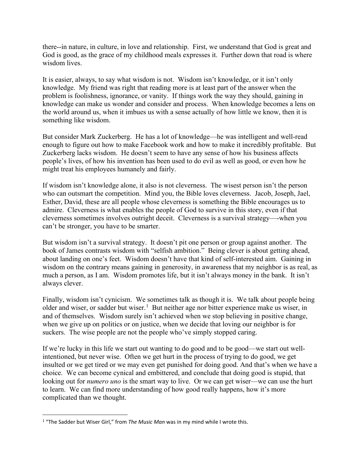there--in nature, in culture, in love and relationship. First, we understand that God is great and God is good, as the grace of my childhood meals expresses it. Further down that road is where wisdom lives.

It is easier, always, to say what wisdom is not. Wisdom isn't knowledge, or it isn't only knowledge. My friend was right that reading more is at least part of the answer when the problem is foolishness, ignorance, or vanity. If things work the way they should, gaining in knowledge can make us wonder and consider and process. When knowledge becomes a lens on the world around us, when it imbues us with a sense actually of how little we know, then it is something like wisdom.

But consider Mark Zuckerberg. He has a lot of knowledge—he was intelligent and well-read enough to figure out how to make Facebook work and how to make it incredibly profitable. But Zuckerberg lacks wisdom. He doesn't seem to have any sense of how his business affects people's lives, of how his invention has been used to do evil as well as good, or even how he might treat his employees humanely and fairly.

If wisdom isn't knowledge alone, it also is not cleverness. The wisest person isn't the person who can outsmart the competition. Mind you, the Bible loves cleverness. Jacob, Joseph, Jael, Esther, David, these are all people whose cleverness is something the Bible encourages us to admire. Cleverness is what enables the people of God to survive in this story, even if that cleverness sometimes involves outright deceit. Cleverness is a survival strategy—-when you can't be stronger, you have to be smarter.

But wisdom isn't a survival strategy. It doesn't pit one person or group against another. The book of James contrasts wisdom with "selfish ambition." Being clever is about getting ahead, about landing on one's feet. Wisdom doesn't have that kind of self-interested aim. Gaining in wisdom on the contrary means gaining in generosity, in awareness that my neighbor is as real, as much a person, as I am. Wisdom promotes life, but it isn't always money in the bank. It isn't always clever.

Finally, wisdom isn't cynicism. We sometimes talk as though it is. We talk about people being older and wiser, or sadder but wiser.<sup>[1](#page-1-0)</sup> But neither age nor bitter experience make us wiser, in and of themselves. Wisdom surely isn't achieved when we stop believing in positive change, when we give up on politics or on justice, when we decide that loving our neighbor is for suckers. The wise people are not the people who've simply stopped caring.

If we're lucky in this life we start out wanting to do good and to be good—we start out wellintentioned, but never wise. Often we get hurt in the process of trying to do good, we get insulted or we get tired or we may even get punished for doing good. And that's when we have a choice. We can become cynical and embittered, and conclude that doing good is stupid, that looking out for *numero uno* is the smart way to live. Or we can get wiser—we can use the hurt to learn. We can find more understanding of how good really happens, how it's more complicated than we thought.

<span id="page-1-0"></span><sup>1</sup> "The Sadder but Wiser Girl," from *The Music Man* was in my mind while I wrote this.